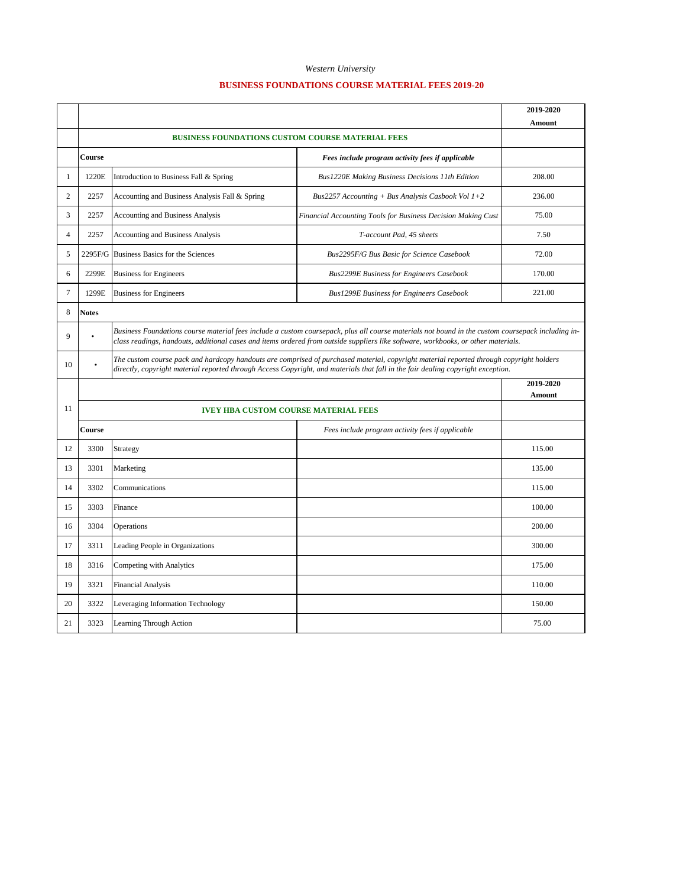## *Western University*

## **BUSINESS FOUNDATIONS COURSE MATERIAL FEES 2019-20**

|                |                                                            |                                                                                                                                                                                                                                                                                        |                                                              | 2019-2020<br>Amount |  |
|----------------|------------------------------------------------------------|----------------------------------------------------------------------------------------------------------------------------------------------------------------------------------------------------------------------------------------------------------------------------------------|--------------------------------------------------------------|---------------------|--|
|                |                                                            |                                                                                                                                                                                                                                                                                        |                                                              |                     |  |
|                | Course                                                     |                                                                                                                                                                                                                                                                                        | Fees include program activity fees if applicable             |                     |  |
| 1              | 1220E                                                      | Introduction to Business Fall & Spring                                                                                                                                                                                                                                                 | Bus1220E Making Business Decisions 11th Edition              | 208.00              |  |
| $\overline{c}$ | 2257                                                       | Accounting and Business Analysis Fall & Spring                                                                                                                                                                                                                                         | Bus2257 Accounting + Bus Analysis Casbook Vol $1+2$          | 236.00              |  |
| 3              | 2257                                                       | Accounting and Business Analysis                                                                                                                                                                                                                                                       | Financial Accounting Tools for Business Decision Making Cust | 75.00               |  |
| $\overline{4}$ | 2257                                                       | Accounting and Business Analysis                                                                                                                                                                                                                                                       | T-account Pad, 45 sheets                                     | 7.50                |  |
| 5              |                                                            | 2295F/G Business Basics for the Sciences                                                                                                                                                                                                                                               | Bus2295F/G Bus Basic for Science Casebook                    | 72.00               |  |
| 6              | 2299E                                                      | <b>Business for Engineers</b>                                                                                                                                                                                                                                                          | <b>Bus2299E Business for Engineers Casebook</b>              | 170.00              |  |
| $\overline{7}$ | 1299E                                                      | <b>Business for Engineers</b>                                                                                                                                                                                                                                                          | <b>Bus1299E Business for Engineers Casebook</b>              | 221.00              |  |
| 8              | <b>Notes</b>                                               |                                                                                                                                                                                                                                                                                        |                                                              |                     |  |
| $\mathbf{Q}$   |                                                            | Business Foundations course material fees include a custom coursepack, plus all course materials not bound in the custom coursepack including in-<br>class readings, handouts, additional cases and items ordered from outside suppliers like software, workbooks, or other materials. |                                                              |                     |  |
| 10             |                                                            | The custom course pack and hardcopy handouts are comprised of purchased material, copyright material reported through copyright holders<br>directly, copyright material reported through Access Copyright, and materials that fall in the fair dealing copyright exception.            |                                                              |                     |  |
|                |                                                            |                                                                                                                                                                                                                                                                                        |                                                              | 2019-2020<br>Amount |  |
| 11             | <b>IVEY HBA CUSTOM COURSE MATERIAL FEES</b>                |                                                                                                                                                                                                                                                                                        |                                                              |                     |  |
|                | Course<br>Fees include program activity fees if applicable |                                                                                                                                                                                                                                                                                        |                                                              |                     |  |
| 12             | 3300                                                       | Strategy                                                                                                                                                                                                                                                                               |                                                              | 115.00              |  |
| 13             | 3301                                                       | Marketing                                                                                                                                                                                                                                                                              |                                                              | 135.00              |  |
| 14             | 3302                                                       | Communications                                                                                                                                                                                                                                                                         |                                                              | 115.00              |  |
| 15             | 3303                                                       | Finance                                                                                                                                                                                                                                                                                |                                                              | 100.00              |  |
| 16             | 3304                                                       | Operations                                                                                                                                                                                                                                                                             |                                                              | 200.00              |  |
| 17             | 3311                                                       | Leading People in Organizations                                                                                                                                                                                                                                                        |                                                              | 300.00              |  |
| 18             | 3316                                                       | Competing with Analytics                                                                                                                                                                                                                                                               |                                                              | 175.00              |  |
| 19             | 3321                                                       | <b>Financial Analysis</b>                                                                                                                                                                                                                                                              |                                                              | 110.00              |  |
| 20             | 3322                                                       | Leveraging Information Technology                                                                                                                                                                                                                                                      |                                                              | 150.00              |  |
| 21             | 3323                                                       | Learning Through Action                                                                                                                                                                                                                                                                |                                                              | 75.00               |  |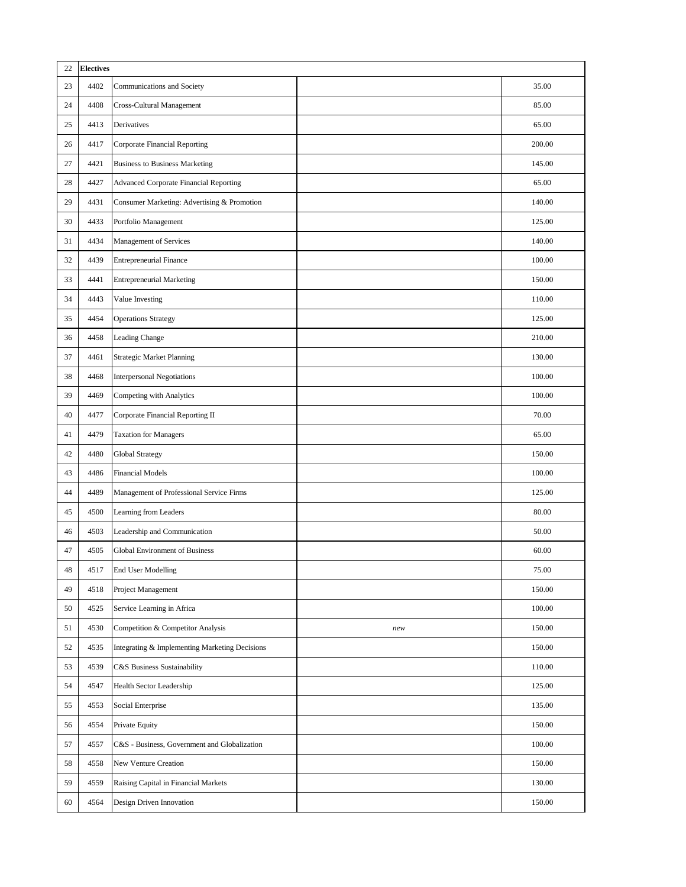| 22 | <b>Electives</b> |                                                |     |        |
|----|------------------|------------------------------------------------|-----|--------|
| 23 | 4402             | Communications and Society                     |     | 35.00  |
| 24 | 4408             | Cross-Cultural Management                      |     | 85.00  |
| 25 | 4413             | Derivatives                                    |     | 65.00  |
| 26 | 4417             | Corporate Financial Reporting                  |     | 200.00 |
| 27 | 4421             | <b>Business to Business Marketing</b>          |     | 145.00 |
| 28 | 4427             | Advanced Corporate Financial Reporting         |     | 65.00  |
| 29 | 4431             | Consumer Marketing: Advertising & Promotion    |     | 140.00 |
| 30 | 4433             | Portfolio Management                           |     | 125.00 |
| 31 | 4434             | Management of Services                         |     | 140.00 |
| 32 | 4439             | <b>Entrepreneurial Finance</b>                 |     | 100.00 |
| 33 | 4441             | <b>Entrepreneurial Marketing</b>               |     | 150.00 |
| 34 | 4443             | Value Investing                                |     | 110.00 |
| 35 | 4454             | <b>Operations Strategy</b>                     |     | 125.00 |
| 36 | 4458             | <b>Leading Change</b>                          |     | 210.00 |
| 37 | 4461             | <b>Strategic Market Planning</b>               |     | 130.00 |
| 38 | 4468             | <b>Interpersonal Negotiations</b>              |     | 100.00 |
| 39 | 4469             | Competing with Analytics                       |     | 100.00 |
| 40 | 4477             | Corporate Financial Reporting II               |     | 70.00  |
| 41 | 4479             | <b>Taxation for Managers</b>                   |     | 65.00  |
| 42 | 4480             | <b>Global Strategy</b>                         |     | 150.00 |
| 43 | 4486             | <b>Financial Models</b>                        |     | 100.00 |
| 44 | 4489             | Management of Professional Service Firms       |     | 125.00 |
| 45 | 4500             | Learning from Leaders                          |     | 80.00  |
| 46 | 4503             | Leadership and Communication                   |     | 50.00  |
| 47 | 4505             | Global Environment of Business                 |     | 60.00  |
| 48 | 4517             | <b>End User Modelling</b>                      |     | 75.00  |
| 49 | 4518             | Project Management                             |     | 150.00 |
| 50 | 4525             | Service Learning in Africa                     |     | 100.00 |
| 51 | 4530             | Competition & Competitor Analysis              | new | 150.00 |
| 52 | 4535             | Integrating & Implementing Marketing Decisions |     | 150.00 |
| 53 | 4539             | C&S Business Sustainability                    |     | 110.00 |
| 54 | 4547             | Health Sector Leadership                       |     | 125.00 |
| 55 | 4553             | Social Enterprise                              |     | 135.00 |
| 56 | 4554             | Private Equity                                 |     | 150.00 |
| 57 | 4557             | C&S - Business, Government and Globalization   |     | 100.00 |
| 58 | 4558             | New Venture Creation                           |     | 150.00 |
| 59 | 4559             | Raising Capital in Financial Markets           |     | 130.00 |
| 60 | 4564             | Design Driven Innovation                       |     | 150.00 |